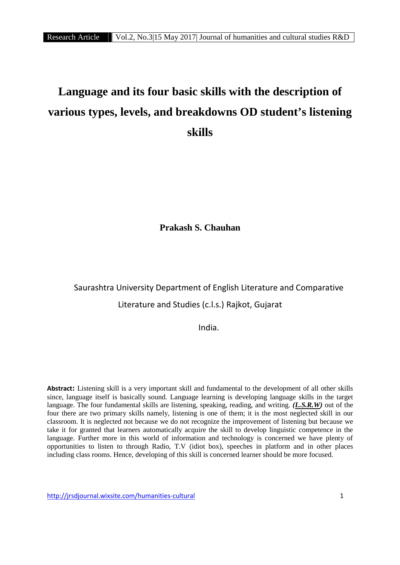# **Language and its four basic skills with the description of various types, levels, and breakdowns OD student's listening skills**

**Prakash S. Chauhan**

# Saurashtra University Department of English Literature and Comparative Literature and Studies (c.l.s.) Rajkot, Gujarat

India.

**Abstract:** Listening skill is a very important skill and fundamental to the development of all other skills since, language itself is basically sound. Language learning is developing language skills in the target language. The four fundamental skills are listening, speaking, reading, and writing. *(L.S.R.W)* out of the four there are two primary skills namely, listening is one of them; it is the most neglected skill in our classroom. It is neglected not because we do not recognize the improvement of listening but because we take it for granted that learners automatically acquire the skill to develop linguistic competence in the language. Further more in this world of information and technology is concerned we have plenty of opportunities to listen to through Radio, T.V (idiot box), speeches in platform and in other places including class rooms. Hence, developing of this skill is concerned learner should be more focused.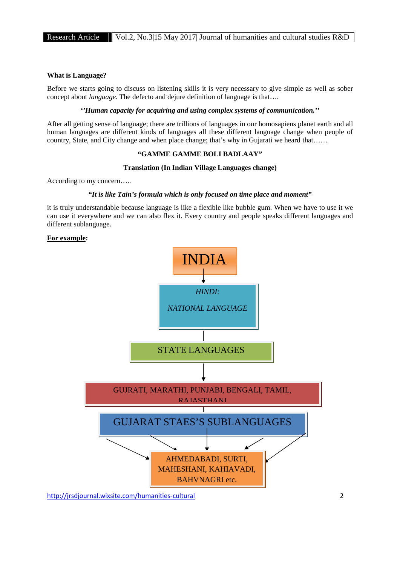#### **What is Language?**

Before we starts going to discuss on listening skills it is very necessary to give simple as well as sober concept about *language*. The defecto and dejure definition of language is that….

#### *''Human capacity for acquiring and using complex systems of communication.''*

After all getting sense of language; there are trillions of languages in our homosapiens planet earth and all human languages are different kinds of languages all these different language change when people of country, State, and City change and when place change; that's why in Gujarati we heard that……

#### **"GAMME GAMME BOLI BADLAAY"**

#### **Translation (In Indian Village Languages change)**

According to my concern…..

#### *"It is like Tain's formula which is only focused on time place and moment"*

it is truly understandable because language is like a flexible like bubble gum. When we have to use it we can use it everywhere and we can also flex it. Every country and people speaks different languages and different sublanguage.

#### **For example:**

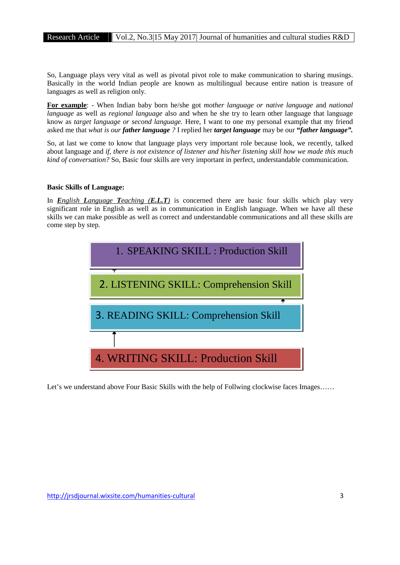So, Language plays very vital as well as pivotal pivot role to make communication to sharing musings. Basically in the world Indian people are known as multilingual because entire nation is treasure of languages as well as religion only.

**For example**: - When Indian baby born he/she got *mother language or native language* and *national language* as well as *regional language* also and when he she try to learn other language that language know as *target language or second language.* Here, I want to one my personal example that my friend asked me that *what is our father language ?* I replied her *target language* may be our **"***father language".*

So, at last we come to know that language plays very important role because look, we recently, talked about language and *if, there is not existence of listener and his/her listening skill how we made this much kind of conversation?* So, Basic four skills are very important in perfect, understandable communication.

#### **Basic Skills of Language:**

In *English Language Teaching (E.L.T)* is concerned there are basic four skills which play very significant role in English as well as in communication in English language. When we have all these skills we can make possible as well as correct and understandable communications and all these skills are come step by step.



Let's we understand above Four Basic Skills with the help of Follwing clockwise faces Images......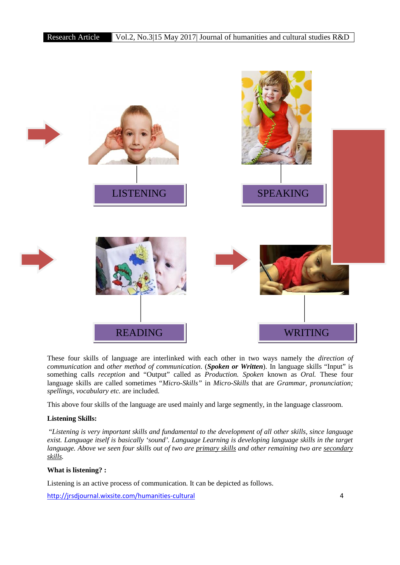

These four skills of language are interlinked with each other in two ways namely the *direction of communication* and *other method of communication*. (*Spoken or Written*). In language skills "Input" is something calls *reception* and "Output" called as *Production. Spoken* known as *Oral.* These four language skills are called sometimes "*Micro-Skills"* in *Micro-Skills* that are *Grammar, pronunciation; spellings, vocabulary etc.* are included.

This above four skills of the language are used mainly and large segmently, in the language classroom.

#### **Listening Skills:**

"*Listening is very important skills and fundamental to the development of all other skills, since language exist. Language itself is basically 'sound'. Language Learning is developing language skills in the target language. Above we seen four skills out of two are primary skills and other remaining two are secondary skills.*

#### **What is listening? :**

Listening is an active process of communication. It can be depicted as follows.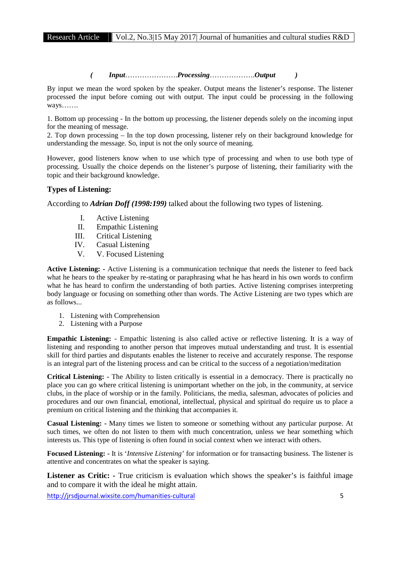*( Input*………………….*Processing*……………….*Output )*

By input we mean the word spoken by the speaker. Output means the listener's response. The listener processed the input before coming out with output. The input could be processing in the following ways…….

1. Bottom up processing - In the bottom up processing, the listener depends solely on the incoming input for the meaning of message.

2. Top down processing – In the top down processing, listener rely on their background knowledge for understanding the message. So, input is not the only source of meaning.

However, good listeners know when to use which type of processing and when to use both type of processing. Usually the choice depends on the listener's purpose of listening, their familiarity with the topic and their background knowledge.

### **Types of Listening:**

According to *Adrian Doff (1998:199)* talked about the following two types of listening.

- I. Active Listening
- II. Empathic Listening
- III. Critical Listening
- IV. Casual Listening
- V. V. Focused Listening

**Active Listening: -** Active Listening is a communication technique that needs the listener to feed back what he hears to the speaker by re-stating or paraphrasing what he has heard in his own words to confirm what he has heard to confirm the understanding of both parties. Active listening comprises interpreting body language or focusing on something other than words. The Active Listening are two types which are as follows...

- 1. Listening with Comprehension
- 2. Listening with a Purpose

**Empathic Listening:** - Empathic listening is also called active or reflective listening. It is a way of listening and responding to another person that improves mutual understanding and trust. It is essential skill for third parties and disputants enables the listener to receive and accurately response. The response is an integral part of the listening process and can be critical to the success of a negotiation/meditation

**Critical Listening: -** The Ability to listen critically is essential in a democracy. There is practically no place you can go where critical listening is unimportant whether on the job, in the community, at service clubs, in the place of worship or in the family. Politicians, the media, salesman, advocates of policies and procedures and our own financial, emotional, intellectual, physical and spiritual do require us to place a premium on critical listening and the thinking that accompanies it.

**Casual Listening: -** Many times we listen to someone or something without any particular purpose. At such times, we often do not listen to them with much concentration, unless we hear something which interests us. This type of listening is often found in social context when we interact with others.

**Focused Listening: -** It is '*Intensive Listening'* for information or for transacting business. The listener is attentive and concentrates on what the speaker is saying.

Listener as Critic: **-** True criticism is evaluation which shows the speaker's is faithful image and to compare it with the ideal he might attain.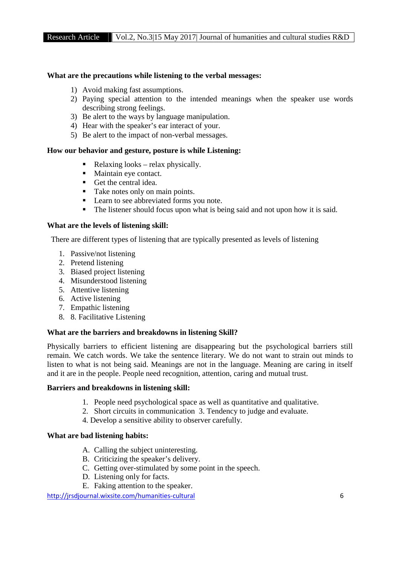#### **What are the precautions while listening to the verbal messages:**

- 1) Avoid making fast assumptions.
- 2) Paying special attention to the intended meanings when the speaker use words describing strong feelings.
- 3) Be alert to the ways by language manipulation.
- 4) Hear with the speaker's ear interact of your.
- 5) Be alert to the impact of non-verbal messages.

#### **How our behavior and gesture, posture is while Listening:**

- Relaxing looks relax physically.
- Maintain eye contact.
- Get the central idea.
- Take notes only on main points.
- **Learn to see abbreviated forms you note.**
- The listener should focus upon what is being said and not upon how it is said.

#### **What are the levels of listening skill:**

There are different types of listening that are typically presented as levels of listening

- 1. Passive/not listening
- 2. Pretend listening
- 3. Biased project listening
- 4. Misunderstood listening
- 5. Attentive listening
- 6. Active listening
- 7. Empathic listening
- 8. 8. Facilitative Listening

#### **What are the barriers and breakdowns in listening Skill?**

Physically barriers to efficient listening are disappearing but the psychological barriers still remain. We catch words. We take the sentence literary. We do not want to strain out minds to listen to what is not being said. Meanings are not in the language. Meaning are caring in itself and it are in the people. People need recognition, attention, caring and mutual trust.

#### **Barriers and breakdowns in listening skill:**

- 1. People need psychological space as well as quantitative and qualitative.
- 2. Short circuits in communication 3. Tendency to judge and evaluate.
- 4. Develop a sensitive ability to observer carefully.

#### **What are bad listening habits:**

- A. Calling the subject uninteresting.
- B. Criticizing the speaker's delivery.
- C. Getting over-stimulated by some point in the speech.
- D. Listening only for facts.
- E. Faking attention to the speaker.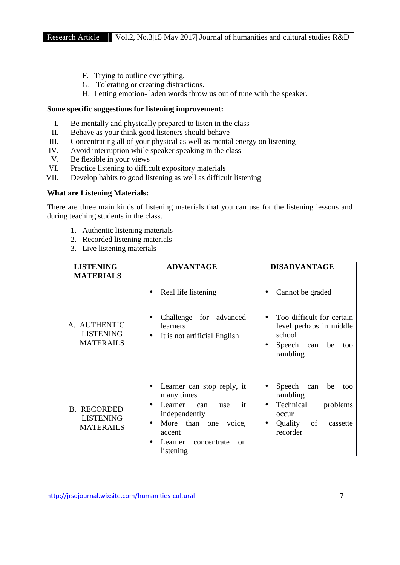- F. Trying to outline everything.
- G. Tolerating or creating distractions.
- H. Letting emotion- laden words throw us out of tune with the speaker.

#### **Some specific suggestions for listening improvement:**

- I. Be mentally and physically prepared to listen in the class
- II. Behave as your think good listeners should behave
- III. Concentrating all of your physical as well as mental energy on listening
- IV. Avoid interruption while speaker speaking in the class
- V. Be flexible in your views
- VI. Practice listening to difficult expository materials
- VII. Develop habits to good listening as well as difficult listening

#### **What are Listening Materials:**

There are three main kinds of listening materials that you can use for the listening lessons and during teaching students in the class.

- 1. Authentic listening materials
- 2. Recorded listening materials
- 3. Live listening materials

| <b>LISTENING</b><br><b>MATERIALS</b>                       | <b>ADVANTAGE</b>                                                                                                                                                                       | <b>DISADVANTAGE</b>                                                                                                            |  |  |
|------------------------------------------------------------|----------------------------------------------------------------------------------------------------------------------------------------------------------------------------------------|--------------------------------------------------------------------------------------------------------------------------------|--|--|
| A. AUTHENTIC<br><b>LISTENING</b><br><b>MATERAILS</b>       | Real life listening<br>Challenge for<br>advanced<br>learners<br>It is not artificial English<br>$\bullet$                                                                              | Cannot be graded<br>Too difficult for certain<br>level perhaps in middle<br>school<br>Speech can<br>be<br>too<br>rambling      |  |  |
| <b>B. RECORDED</b><br><b>LISTENING</b><br><b>MATERAILS</b> | Learner can stop reply, it<br>many times<br>Learner<br>it<br>can<br>use<br>independently<br>More than<br>voice,<br>one<br>accent<br>Learner<br>concentrate<br>$_{\rm on}$<br>listening | Speech<br>be<br>can<br>too<br>rambling<br>Technical<br>problems<br>$\bullet$<br>occur<br>of<br>Quality<br>cassette<br>recorder |  |  |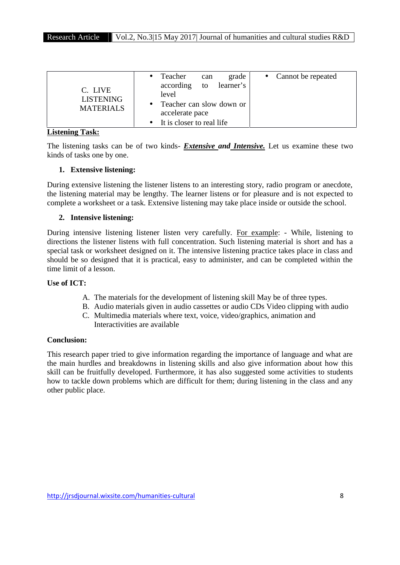| C. LIVE<br><b>LISTENING</b><br><b>MATERIALS</b> | Teacher<br>according<br>level               | can<br>to | grade<br>learner's | • Cannot be repeated |
|-------------------------------------------------|---------------------------------------------|-----------|--------------------|----------------------|
|                                                 | Teacher can slow down or<br>accelerate pace |           |                    |                      |
|                                                 | It is closer to real life                   |           |                    |                      |

#### **Listening Task:**

The listening tasks can be of two kinds- *Extensive and Intensive.* Let us examine these two kinds of tasks one by one.

# **1. Extensive listening:**

During extensive listening the listener listens to an interesting story, radio program or anecdote, the listening material may be lengthy. The learner listens or for pleasure and is not expected to complete a worksheet or a task. Extensive listening may take place inside or outside the school.

# **2. Intensive listening:**

During intensive listening listener listen very carefully. For example: - While, listening to directions the listener listens with full concentration. Such listening material is short and has a special task or worksheet designed on it. The intensive listening practice takes place in class and should be so designed that it is practical, easy to administer, and can be completed within the time limit of a lesson.

## **Use of ICT:**

- A. The materials for the development of listening skill May be of three types.
- B. Audio materials given in audio cassettes or audio CDs Video clipping with audio
- C. Multimedia materials where text, voice, video/graphics, animation and Interactivities are available

# **Conclusion:**

This research paper tried to give information regarding the importance of language and what are the main hurdles and breakdowns in listening skills and also give information about how this skill can be fruitfully developed. Furthermore, it has also suggested some activities to students how to tackle down problems which are difficult for them; during listening in the class and any other public place.